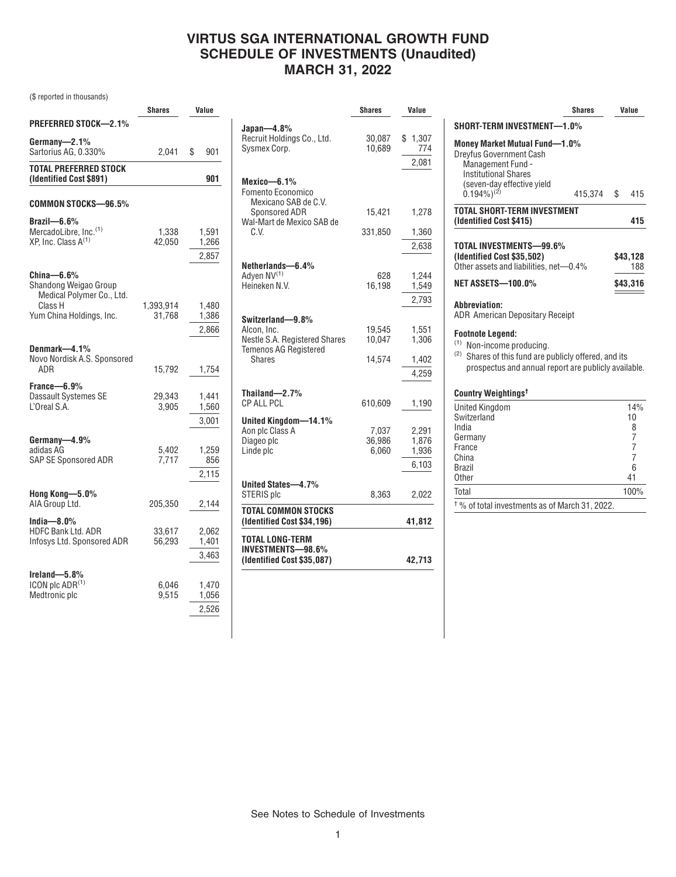# **VIRTUS SGA INTERNATIONAL GROWTH FUND SCHEDULE OF INVESTMENTS (Unaudited) MARCH 31, 2022**

(\$ reported in thousands)

|                                                                                                         | <b>Shares</b>       |                         | Value |  |
|---------------------------------------------------------------------------------------------------------|---------------------|-------------------------|-------|--|
| <b>PREFERRED STOCK-2.1%</b>                                                                             |                     |                         |       |  |
| Germany-2.1%<br>Sartorius AG, 0.330%                                                                    | 2,041               | \$<br>901               |       |  |
| TOTAL PREFERRED STOCK<br>(Identified Cost \$891)                                                        |                     | 901                     |       |  |
| COMMON STOCKS-96.5%                                                                                     |                     |                         |       |  |
| $Brazil - 6.6%$<br>MercadoLibre, Inc. <sup>(1)</sup><br>XP, Inc. Class $A^{(1)}$                        | 1,338<br>42,050     | 1,591<br>1,266<br>2,857 |       |  |
| China—6.6%<br>Shandong Weigao Group<br>Medical Polymer Co., Ltd.<br>Class H<br>Yum China Holdings, Inc. | 1,393,914<br>31,768 | 1,480<br>1,386<br>2,866 |       |  |
| Denmark—4.1%<br>Novo Nordisk A.S. Sponsored<br>ADR                                                      | 15,792              | 1,754                   |       |  |
| France—6.9%<br>Dassault Systemes SE<br>L'Oreal S.A.                                                     | 29,343<br>3,905     | 1,441<br>1,560<br>3,001 |       |  |
| Germany-4.9%<br>adidas AG<br>SAP SE Sponsored ADR                                                       | 5,402<br>7,717      | 1,259<br>856<br>2,115   |       |  |
| Hong Kong-5.0%<br>AIA Group Ltd.                                                                        | 205,350             | 2,144                   |       |  |
| India $-8.0\%$<br><b>HDFC Bank Ltd. ADR</b><br>Infosys Ltd. Sponsored ADR                               | 33,617<br>56,293    | 2,062<br>1,401<br>3,463 |       |  |
| Ireland-5.8%<br>ICON plc ADR <sup>(1)</sup><br>Medtronic plc                                            | 6,046<br>9,515      | 1,470<br>1,056<br>2,526 |       |  |

|                                                                                                                   | <b>Shares</b>            | Value                            |
|-------------------------------------------------------------------------------------------------------------------|--------------------------|----------------------------------|
| Japan—4.8%<br>Recruit Holdings Co., Ltd.<br>Sysmex Corp.                                                          | 30,087<br>10.689         | \$1,307<br>774                   |
| Mexico-6.1%<br>Fomento Economico                                                                                  |                          | 2,081                            |
| Mexicano SAB de C.V.<br>Sponsored ADR<br>Wal-Mart de Mexico SAB de<br>C.V.                                        | 15,421                   | 1,278                            |
|                                                                                                                   | 331,850                  | 1,360<br>2,638                   |
| Netherlands-6.4%<br>Adyen NV <sup>(1)</sup><br>Heineken N.V.                                                      | 628<br>16,198            | 1,244<br>1,549<br>2,793          |
| Switzerland-9.8%<br>Alcon, Inc.<br>Nestle S.A. Registered Shares<br><b>Temenos AG Registered</b><br><b>Shares</b> | 19,545<br>10.047         | 1,551<br>1,306                   |
|                                                                                                                   | 14.574                   | 1,402<br>4,259                   |
| Thailand $-2.7%$<br><b>CP ALL PCL</b>                                                                             | 610,609                  | 1,190                            |
| United Kingdom-14.1%<br>Aon plc Class A<br>Diageo plc<br>Linde plc                                                | 7,037<br>36,986<br>6,060 | 2,291<br>1,876<br>1,936<br>6,103 |
| United States-4.7%<br>STERIS plc                                                                                  | 8,363                    | 2,022                            |
| TOTAL COMMON STOCKS<br>(Identified Cost \$34,196)                                                                 |                          | 41,812                           |
| <b>TOTAL LONG-TERM</b><br>INVESTMENTS-98.6%<br>(Identified Cost \$35,087)                                         |                          | 42,713                           |

|                                                                                                                                                                          | Shares  |    | Value               |  |
|--------------------------------------------------------------------------------------------------------------------------------------------------------------------------|---------|----|---------------------|--|
| SHORT-TERM INVESTMENT-1.0%                                                                                                                                               |         |    |                     |  |
| Money Market Mutual Fund-1.0%<br><b>Dreyfus Government Cash</b><br>Management Fund -<br><b>Institutional Shares</b><br>(seven-day effective yield                        |         |    |                     |  |
| $(0.194\%)^{(2)}$                                                                                                                                                        | 415,374 | \$ | 415                 |  |
| TOTAL SHORT-TERM INVESTMENT<br>(Identified Cost \$415)                                                                                                                   |         |    | 415                 |  |
| TOTAL INVESTMENTS-99.6%<br>(Identified Cost \$35,502)<br>Other assets and liabilities, net-0.4%                                                                          |         |    | \$43,128<br>188     |  |
| <b>NET ASSETS-100.0%</b>                                                                                                                                                 |         |    | \$43,316            |  |
| Abbreviation:<br><b>ADR American Depositary Receipt</b>                                                                                                                  |         |    |                     |  |
| <b>Footnote Legend:</b><br>(1)<br>Non-income producing.<br>(2) Shares of this fund are publicly offered, and its<br>prospectus and annual report are publicly available. |         |    |                     |  |
| Country Weightings <sup>t</sup>                                                                                                                                          |         |    |                     |  |
| <b>United Kinadom</b><br>Switzerland<br>India                                                                                                                            |         |    | 14%<br>10<br>8      |  |
| Germany<br>France                                                                                                                                                        |         |    | 7<br>$\overline{7}$ |  |
| China<br><b>Brazil</b><br>Other                                                                                                                                          |         |    | 7<br>6<br>41        |  |
| Total                                                                                                                                                                    |         |    | 100%                |  |
| <sup>†</sup> % of total investments as of March 31, 2022.                                                                                                                |         |    |                     |  |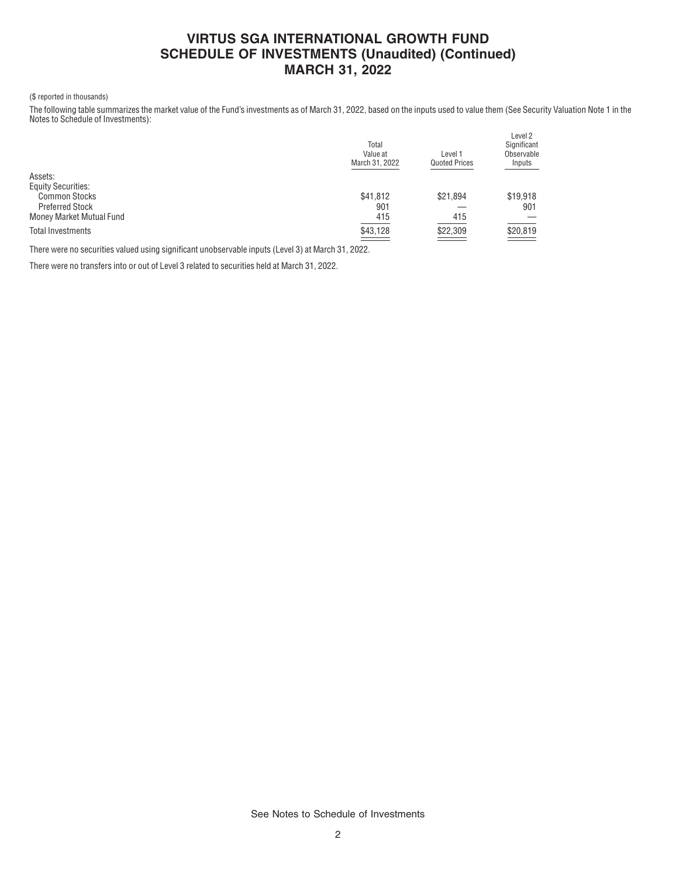# **VIRTUS SGA INTERNATIONAL GROWTH FUND SCHEDULE OF INVESTMENTS (Unaudited) (Continued) MARCH 31, 2022**

#### (\$ reported in thousands)

The following table summarizes the market value of the Fund's investments as of March 31, 2022, based on the inputs used to value them (See Security Valuation Note 1 in the Notes to Schedule of Investments):

|                           | Total<br>Value at<br>March 31, 2022 | Level 1<br><b>Quoted Prices</b>  | Level 2<br>Significant<br>Observable<br>Inputs |
|---------------------------|-------------------------------------|----------------------------------|------------------------------------------------|
| Assets:                   |                                     |                                  |                                                |
| <b>Equity Securities:</b> |                                     |                                  |                                                |
| <b>Common Stocks</b>      | \$41,812                            | \$21.894                         | \$19,918                                       |
| <b>Preferred Stock</b>    | 901                                 |                                  | 901                                            |
| Money Market Mutual Fund  | 415                                 | 415                              |                                                |
| <b>Total Investments</b>  | \$43,128<br>$\equiv$                | \$22,309<br><b>Service State</b> | \$20,819                                       |
|                           |                                     |                                  |                                                |

There were no securities valued using significant unobservable inputs (Level 3) at March 31, 2022.

There were no transfers into or out of Level 3 related to securities held at March 31, 2022.

See Notes to Schedule of Investments